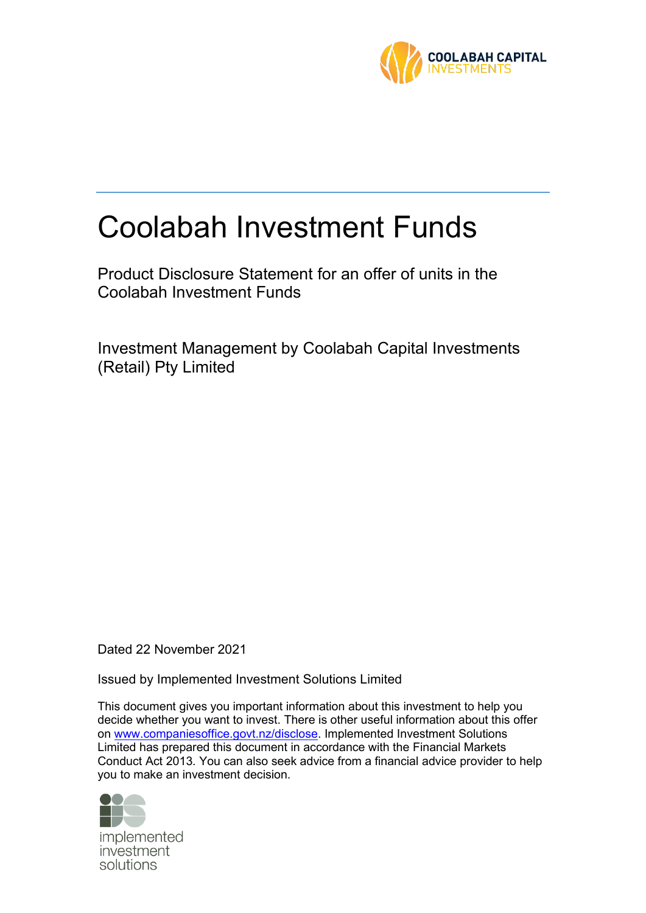

# Coolabah Investment Funds

Product Disclosure Statement for an offer of units in the Coolabah Investment Funds

Investment Management by Coolabah Capital Investments (Retail) Pty Limited

Dated 22 November 2021

Issued by Implemented Investment Solutions Limited

This document gives you important information about this investment to help you decide whether you want to invest. There is other useful information about this offer on [www.companiesoffice.govt.nz/disclose.](file:///C:/Users/justine.gainsford/AppData/Local/Microsoft/Windows/Temporary%20Internet%20Files/Content.Outlook/33VEJF1E/www.companiesoffice.govt.nz/disclose) Implemented Investment Solutions Limited has prepared this document in accordance with the Financial Markets Conduct Act 2013. You can also seek advice from a financial advice provider to help you to make an investment decision.



implemented investment solutions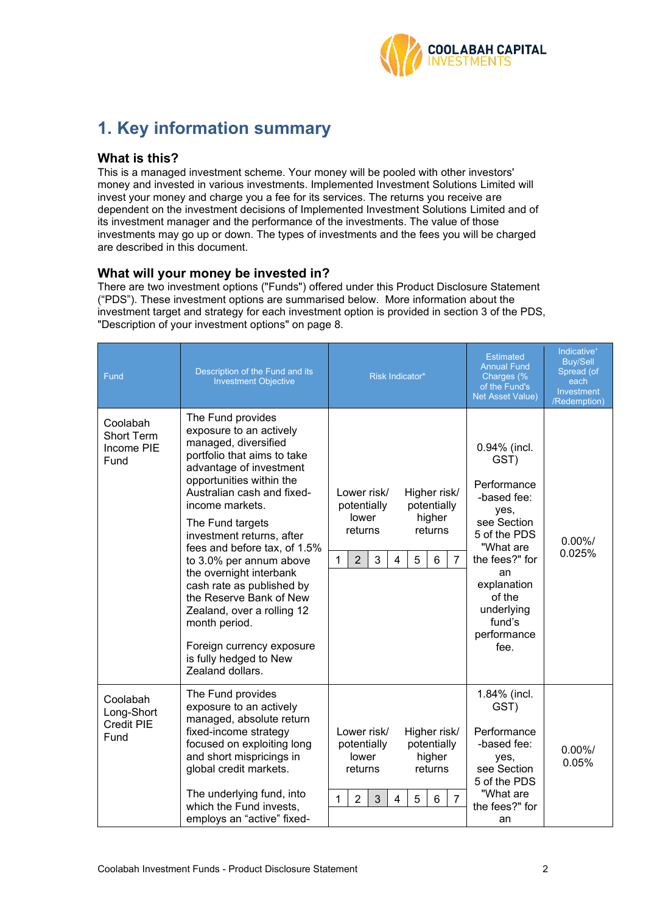

# **1. Key information summary**

# **What is this?**

This is a managed investment scheme. Your money will be pooled with other investors' money and invested in various investments. Implemented Investment Solutions Limited will invest your money and charge you a fee for its services. The returns you receive are dependent on the investment decisions of Implemented Investment Solutions Limited and of its investment manager and the performance of the investments. The value of those investments may go up or down. The types of investments and the fees you will be charged are described in this document.

# **What will your money be invested in?**

There are two investment options ("Funds") offered under this Product Disclosure Statement ("PDS"). These investment options are summarised below. More information about the investment target and strategy for each investment option is provided in section [3](#page-7-0) of the PDS, "Description of your investment options" on page [8.](#page-7-0)

| Fund                                                | Description of the Fund and its<br><b>Investment Objective</b>                                                                                                                                                                                                                                                                                                                                                                                                                                                                       | <b>Risk Indicator*</b>                                                                                                                                                                               | <b>Estimated</b><br><b>Annual Fund</b><br>Charges (%<br>of the Fund's<br><b>Net Asset Value)</b>                                                                                                       | Indicative <sup>+</sup><br><b>Buy/Sell</b><br>Spread (of<br>each<br>Investment<br>/Redemption) |
|-----------------------------------------------------|--------------------------------------------------------------------------------------------------------------------------------------------------------------------------------------------------------------------------------------------------------------------------------------------------------------------------------------------------------------------------------------------------------------------------------------------------------------------------------------------------------------------------------------|------------------------------------------------------------------------------------------------------------------------------------------------------------------------------------------------------|--------------------------------------------------------------------------------------------------------------------------------------------------------------------------------------------------------|------------------------------------------------------------------------------------------------|
| Coolabah<br><b>Short Term</b><br>Income PIE<br>Fund | The Fund provides<br>exposure to an actively<br>managed, diversified<br>portfolio that aims to take<br>advantage of investment<br>opportunities within the<br>Australian cash and fixed-<br>income markets.<br>The Fund targets<br>investment returns, after<br>fees and before tax, of 1.5%<br>to 3.0% per annum above<br>the overnight interbank<br>cash rate as published by<br>the Reserve Bank of New<br>Zealand, over a rolling 12<br>month period.<br>Foreign currency exposure<br>is fully hedged to New<br>Zealand dollars. | Lower risk/<br>Higher risk/<br>potentially<br>potentially<br>lower<br>higher<br>returns<br>returns<br>$\overline{2}$<br>3<br>$6\phantom{1}$<br>$\overline{7}$<br>5<br>$\mathbf{1}$<br>$\overline{4}$ | 0.94% (incl.<br>GST)<br>Performance<br>-based fee:<br>yes,<br>see Section<br>5 of the PDS<br>"What are<br>the fees?" for<br>an<br>explanation<br>of the<br>underlying<br>fund's<br>performance<br>fee. | $0.00\%$ /<br>0.025%                                                                           |
| Coolabah<br>Long-Short<br>Credit PIE<br>Fund        | The Fund provides<br>exposure to an actively<br>managed, absolute return<br>fixed-income strategy<br>focused on exploiting long<br>and short mispricings in<br>global credit markets.<br>The underlying fund, into<br>which the Fund invests,<br>employs an "active" fixed-                                                                                                                                                                                                                                                          | Lower risk/<br>Higher risk/<br>potentially<br>potentially<br>lower<br>higher<br>returns<br>returns<br>$\overline{2}$<br>$\overline{3}$<br>4<br>5<br>6<br>$\overline{7}$<br>$\mathbf{1}$              | 1.84% (incl.<br>GST)<br>Performance<br>-based fee:<br>yes,<br>see Section<br>5 of the PDS<br>"What are<br>the fees?" for<br>an                                                                         | $0.00\%$ /<br>0.05%                                                                            |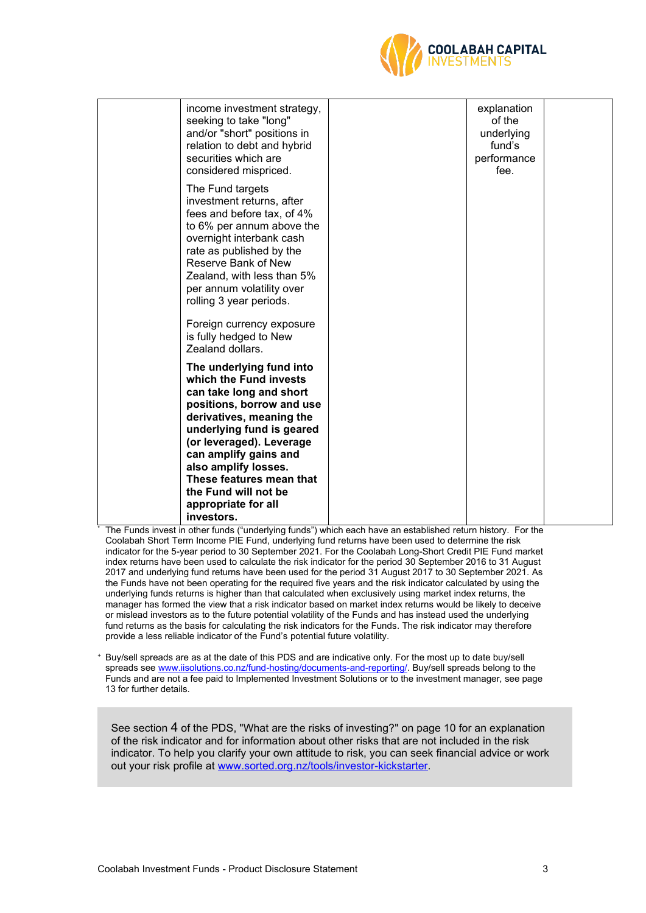

| income investment strategy,<br>seeking to take "long"<br>and/or "short" positions in<br>relation to debt and hybrid<br>securities which are<br>considered mispriced.                                                                                                                                                                                     | explanation<br>of the<br>underlying<br>fund's<br>performance<br>fee. |  |
|----------------------------------------------------------------------------------------------------------------------------------------------------------------------------------------------------------------------------------------------------------------------------------------------------------------------------------------------------------|----------------------------------------------------------------------|--|
| The Fund targets<br>investment returns, after<br>fees and before tax, of 4%<br>to 6% per annum above the<br>overnight interbank cash<br>rate as published by the<br>Reserve Bank of New<br>Zealand, with less than 5%<br>per annum volatility over<br>rolling 3 year periods.<br>Foreign currency exposure<br>is fully hedged to New<br>Zealand dollars. |                                                                      |  |
| The underlying fund into<br>which the Fund invests<br>can take long and short<br>positions, borrow and use<br>derivatives, meaning the<br>underlying fund is geared<br>(or leveraged). Leverage<br>can amplify gains and<br>also amplify losses.<br>These features mean that<br>the Fund will not be<br>appropriate for all<br>investors.                |                                                                      |  |

The Funds invest in other funds ("underlying funds") which each have an established return history. For the Coolabah Short Term Income PIE Fund, underlying fund returns have been used to determine the risk indicator for the 5-year period to 30 September 2021. For the Coolabah Long-Short Credit PIE Fund market index returns have been used to calculate the risk indicator for the period 30 September 2016 to 31 August 2017 and underlying fund returns have been used for the period 31 August 2017 to 30 September 2021. As the Funds have not been operating for the required five years and the risk indicator calculated by using the underlying funds returns is higher than that calculated when exclusively using market index returns, the manager has formed the view that a risk indicator based on market index returns would be likely to deceive or mislead investors as to the future potential volatility of the Funds and has instead used the underlying fund returns as the basis for calculating the risk indicators for the Funds. The risk indicator may therefore provide a less reliable indicator of the Fund's potential future volatility.

<sup>+</sup> Buy/sell spreads are as at the date of this PDS and are indicative only. For the most up to date buy/sell spreads see [www.iisolutions.co.nz/fund-hosting/documents-and-reporting/.](http://www.iisolutions.co.nz/fund-hosting/documents-and-reporting/) Buy/sell spreads belong to the Funds and are not a fee paid to Implemented Investment Solutions or to the investment manager, see page 13 for further details.

See section [4](#page-9-0) of the PDS, ["What are the risks of investing?"](#page-9-0) on page [10](#page-9-0) for an explanation of the risk indicator and for information about other risks that are not included in the risk indicator. To help you clarify your own attitude to risk, you can seek financial advice or work out your risk profile at [www.sorted.org.nz/tools/investor-kickstarter.](http://www.sorted.org.nz/tools/investor-kickstarter)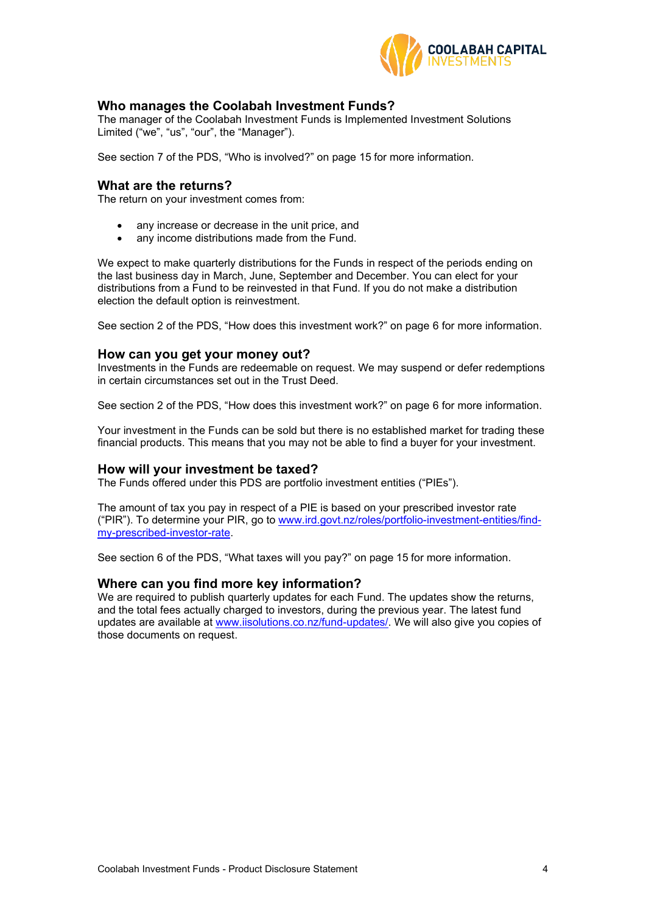

# **Who manages the Coolabah Investment Funds?**

The manager of the Coolabah Investment Funds is Implemented Investment Solutions Limited ("we", "us", "our", the "Manager").

See section 7 of the PDS, "Who is involved?" on page 15 for more information.

## **What are the returns?**

The return on your investment comes from:

- any increase or decrease in the unit price, and
- any income distributions made from the Fund.

We expect to make quarterly distributions for the Funds in respect of the periods ending on the last business day in March, June, September and December. You can elect for your distributions from a Fund to be reinvested in that Fund. If you do not make a distribution election the default option is reinvestment.

See section 2 of the PDS, "How does this investment work?" on page [6](#page-5-0) for more information.

#### **How can you get your money out?**

Investments in the Funds are redeemable on request. We may suspend or defer redemptions in certain circumstances set out in the Trust Deed.

See section 2 of the PDS, "How does this investment work?" on page [6](#page-5-0) for more information.

Your investment in the Funds can be sold but there is no established market for trading these financial products. This means that you may not be able to find a buyer for your investment.

### **How will your investment be taxed?**

The Funds offered under this PDS are portfolio investment entities ("PIEs").

The amount of tax you pay in respect of a PIE is based on your prescribed investor rate ("PIR"). To determine your PIR, go to [www.ird.govt.nz/roles/portfolio-investment-entities/find](http://www.ird.govt.nz/roles/portfolio-investment-entities/find-my-prescribed-investor-rate)[my-prescribed-investor-rate.](http://www.ird.govt.nz/roles/portfolio-investment-entities/find-my-prescribed-investor-rate)

See section 6 of the PDS, "What taxes will you pay?" on page [15](#page-14-0) for more information.

### **Where can you find more key information?**

We are required to publish quarterly updates for each Fund. The updates show the returns, and the total fees actually charged to investors, during the previous year. The latest fund updates are available at www.iisolutions.co.nz/fund-updates/. We will also give you copies of those documents on request.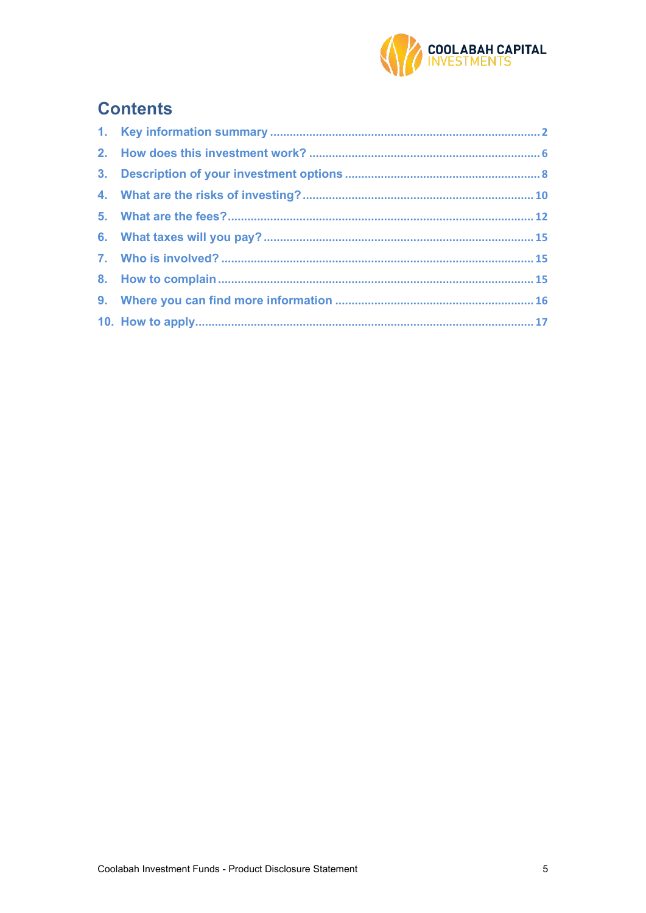

# **Contents**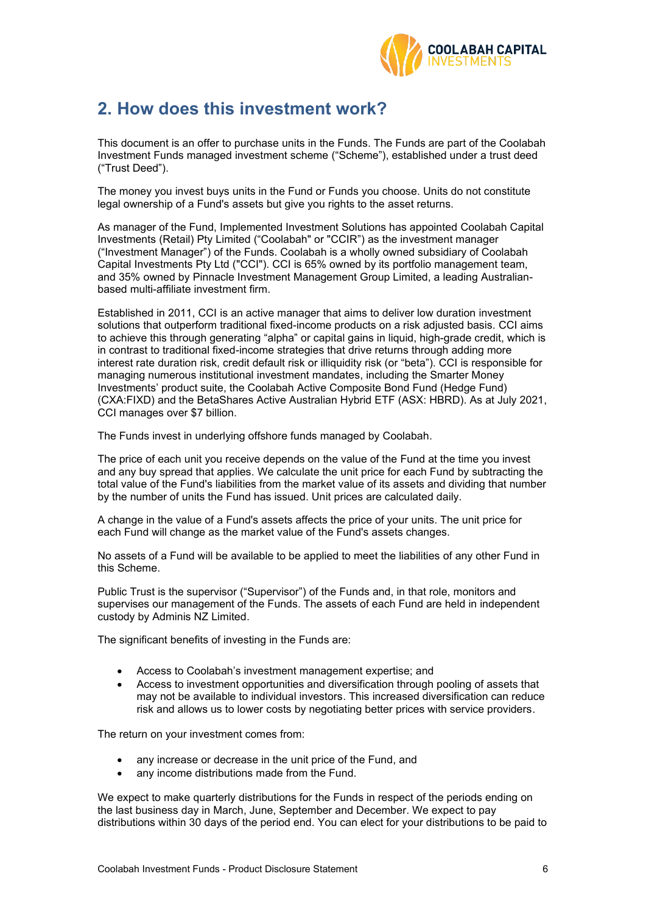

# <span id="page-5-0"></span>**2. How does this investment work?**

This document is an offer to purchase units in the Funds. The Funds are part of the Coolabah Investment Funds managed investment scheme ("Scheme"), established under a trust deed ("Trust Deed").

The money you invest buys units in the Fund or Funds you choose. Units do not constitute legal ownership of a Fund's assets but give you rights to the asset returns.

As manager of the Fund, Implemented Investment Solutions has appointed Coolabah Capital Investments (Retail) Pty Limited ("Coolabah" or "CCIR") as the investment manager ("Investment Manager") of the Funds. Coolabah is a wholly owned subsidiary of Coolabah Capital Investments Pty Ltd ("CCI"). CCI is 65% owned by its portfolio management team, and 35% owned by Pinnacle Investment Management Group Limited, a leading Australianbased multi-affiliate investment firm.

Established in 2011, CCI is an active manager that aims to deliver low duration investment solutions that outperform traditional fixed-income products on a risk adjusted basis. CCI aims to achieve this through generating "alpha" or capital gains in liquid, high-grade credit, which is in contrast to traditional fixed-income strategies that drive returns through adding more interest rate duration risk, credit default risk or illiquidity risk (or "beta"). CCI is responsible for managing numerous institutional investment mandates, including the Smarter Money Investments' product suite, the Coolabah Active Composite Bond Fund (Hedge Fund) (CXA:FIXD) and the BetaShares Active Australian Hybrid ETF (ASX: HBRD). As at July 2021, CCI manages over \$7 billion.

The Funds invest in underlying offshore funds managed by Coolabah.

The price of each unit you receive depends on the value of the Fund at the time you invest and any buy spread that applies. We calculate the unit price for each Fund by subtracting the total value of the Fund's liabilities from the market value of its assets and dividing that number by the number of units the Fund has issued. Unit prices are calculated daily.

A change in the value of a Fund's assets affects the price of your units. The unit price for each Fund will change as the market value of the Fund's assets changes.

No assets of a Fund will be available to be applied to meet the liabilities of any other Fund in this Scheme.

Public Trust is the supervisor ("Supervisor") of the Funds and, in that role, monitors and supervises our management of the Funds. The assets of each Fund are held in independent custody by Adminis NZ Limited.

The significant benefits of investing in the Funds are:

- Access to Coolabah's investment management expertise; and
- Access to investment opportunities and diversification through pooling of assets that may not be available to individual investors. This increased diversification can reduce risk and allows us to lower costs by negotiating better prices with service providers.

The return on your investment comes from:

- any increase or decrease in the unit price of the Fund, and
- any income distributions made from the Fund.

We expect to make quarterly distributions for the Funds in respect of the periods ending on the last business day in March, June, September and December. We expect to pay distributions within 30 days of the period end. You can elect for your distributions to be paid to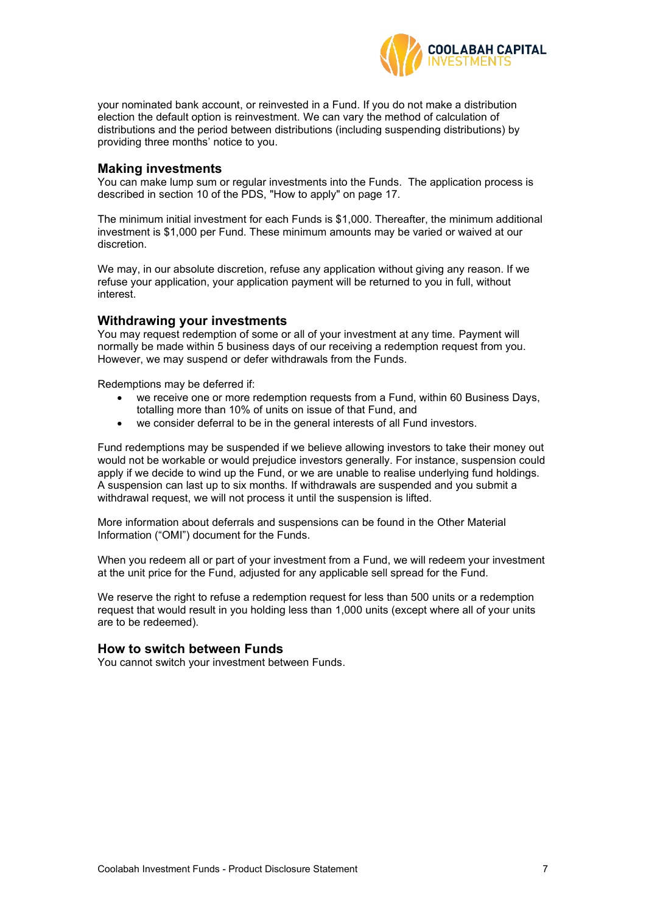

your nominated bank account, or reinvested in a Fund. If you do not make a distribution election the default option is reinvestment. We can vary the method of calculation of distributions and the period between distributions (including suspending distributions) by providing three months' notice to you.

## **Making investments**

You can make lump sum or regular investments into the Funds. The application process is described in section [10](#page-16-0) of the PDS, ["How to apply"](#page-16-0) on page [17.](#page-16-0)

The minimum initial investment for each Funds is \$1,000. Thereafter, the minimum additional investment is \$1,000 per Fund. These minimum amounts may be varied or waived at our discretion.

We may, in our absolute discretion, refuse any application without giving any reason. If we refuse your application, your application payment will be returned to you in full, without interest.

# **Withdrawing your investments**

You may request redemption of some or all of your investment at any time. Payment will normally be made within 5 business days of our receiving a redemption request from you. However, we may suspend or defer withdrawals from the Funds.

Redemptions may be deferred if:

- we receive one or more redemption requests from a Fund, within 60 Business Days, totalling more than 10% of units on issue of that Fund, and
- we consider deferral to be in the general interests of all Fund investors.

Fund redemptions may be suspended if we believe allowing investors to take their money out would not be workable or would prejudice investors generally. For instance, suspension could apply if we decide to wind up the Fund, or we are unable to realise underlying fund holdings. A suspension can last up to six months. If withdrawals are suspended and you submit a withdrawal request, we will not process it until the suspension is lifted.

More information about deferrals and suspensions can be found in the Other Material Information ("OMI") document for the Funds.

When you redeem all or part of your investment from a Fund, we will redeem your investment at the unit price for the Fund, adjusted for any applicable sell spread for the Fund.

We reserve the right to refuse a redemption request for less than 500 units or a redemption request that would result in you holding less than 1,000 units (except where all of your units are to be redeemed).

### **How to switch between Funds**

You cannot switch your investment between Funds.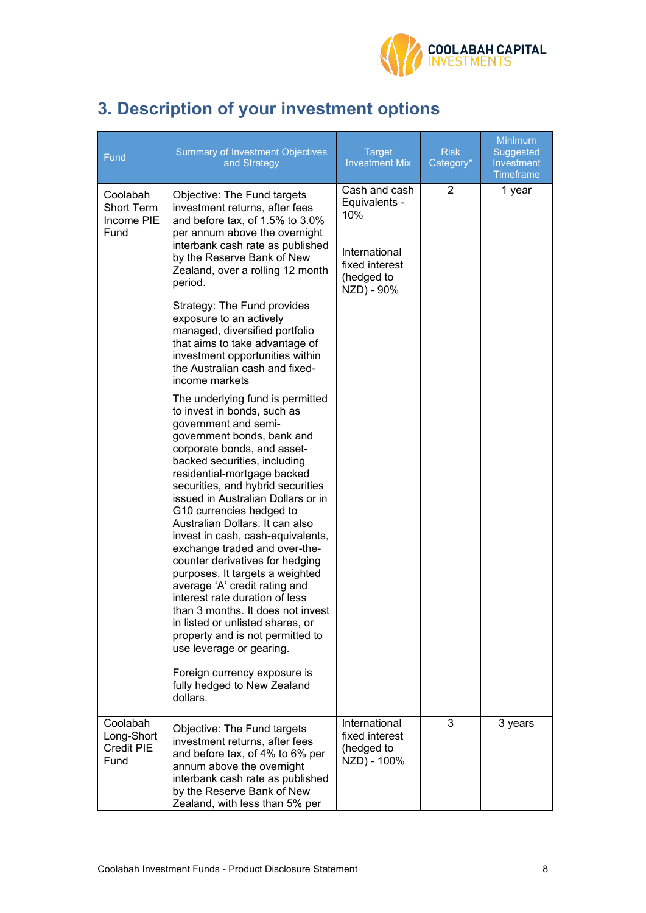

# <span id="page-7-0"></span>**3. Description of your investment options**

| Fund                                                | <b>Summary of Investment Objectives</b><br>and Strategy                                                                                                                                                                                                                                                                                                                                                                                                                                                                                                                                                                                                                                                                                                                                                                                                                                                                                                                                                                                                                                                                                                                                                                                                                     | <b>Target</b><br><b>Investment Mix</b>                                                               | <b>Risk</b><br>Category* | <b>Minimum</b><br>Suggested<br>Investment<br><b>Timeframe</b> |
|-----------------------------------------------------|-----------------------------------------------------------------------------------------------------------------------------------------------------------------------------------------------------------------------------------------------------------------------------------------------------------------------------------------------------------------------------------------------------------------------------------------------------------------------------------------------------------------------------------------------------------------------------------------------------------------------------------------------------------------------------------------------------------------------------------------------------------------------------------------------------------------------------------------------------------------------------------------------------------------------------------------------------------------------------------------------------------------------------------------------------------------------------------------------------------------------------------------------------------------------------------------------------------------------------------------------------------------------------|------------------------------------------------------------------------------------------------------|--------------------------|---------------------------------------------------------------|
| Coolabah<br><b>Short Term</b><br>Income PIE<br>Fund | Objective: The Fund targets<br>investment returns, after fees<br>and before tax, of 1.5% to 3.0%<br>per annum above the overnight<br>interbank cash rate as published<br>by the Reserve Bank of New<br>Zealand, over a rolling 12 month<br>period.<br>Strategy: The Fund provides<br>exposure to an actively<br>managed, diversified portfolio<br>that aims to take advantage of<br>investment opportunities within<br>the Australian cash and fixed-<br>income markets<br>The underlying fund is permitted<br>to invest in bonds, such as<br>government and semi-<br>government bonds, bank and<br>corporate bonds, and asset-<br>backed securities, including<br>residential-mortgage backed<br>securities, and hybrid securities<br>issued in Australian Dollars or in<br>G10 currencies hedged to<br>Australian Dollars. It can also<br>invest in cash, cash-equivalents,<br>exchange traded and over-the-<br>counter derivatives for hedging<br>purposes. It targets a weighted<br>average 'A' credit rating and<br>interest rate duration of less<br>than 3 months. It does not invest<br>in listed or unlisted shares, or<br>property and is not permitted to<br>use leverage or gearing.<br>Foreign currency exposure is<br>fully hedged to New Zealand<br>dollars. | Cash and cash<br>Equivalents -<br>10%<br>International<br>fixed interest<br>(hedged to<br>NZD) - 90% | 2                        | 1 year                                                        |
| Coolabah<br>Long-Short<br><b>Credit PIE</b><br>Fund | Objective: The Fund targets<br>investment returns, after fees<br>and before tax, of 4% to 6% per<br>annum above the overnight<br>interbank cash rate as published<br>by the Reserve Bank of New<br>Zealand, with less than 5% per                                                                                                                                                                                                                                                                                                                                                                                                                                                                                                                                                                                                                                                                                                                                                                                                                                                                                                                                                                                                                                           | International<br>fixed interest<br>(hedged to<br>NZD) - 100%                                         | 3                        | 3 years                                                       |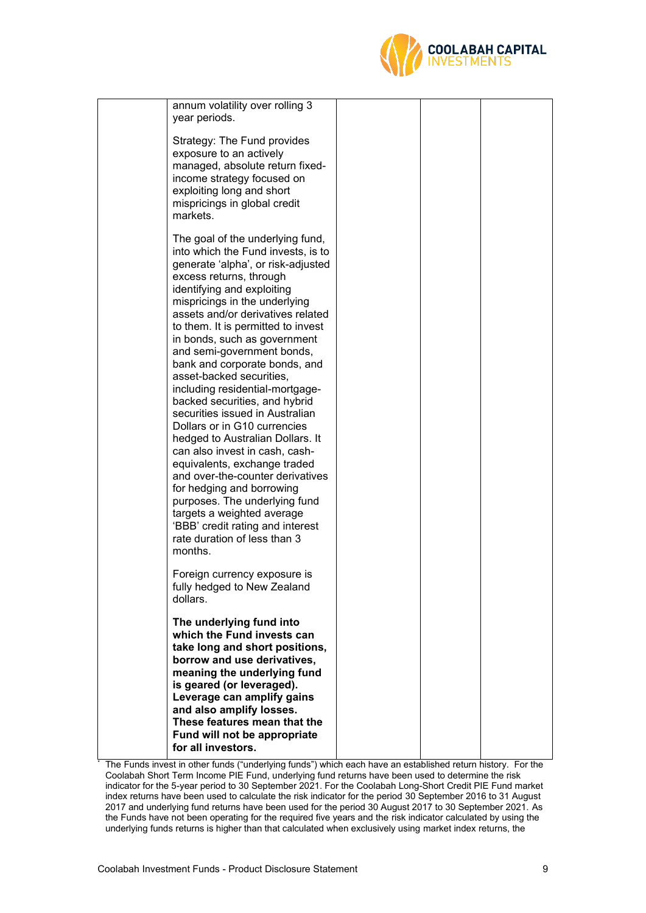

| annum volatility over rolling 3<br>year periods.                                                                                                                                                                                                                                                                                                                                                                                                                                                                                                                                                                                                                                                                                                                                                                                                                         |  |  |
|--------------------------------------------------------------------------------------------------------------------------------------------------------------------------------------------------------------------------------------------------------------------------------------------------------------------------------------------------------------------------------------------------------------------------------------------------------------------------------------------------------------------------------------------------------------------------------------------------------------------------------------------------------------------------------------------------------------------------------------------------------------------------------------------------------------------------------------------------------------------------|--|--|
| Strategy: The Fund provides<br>exposure to an actively<br>managed, absolute return fixed-<br>income strategy focused on<br>exploiting long and short<br>mispricings in global credit<br>markets.                                                                                                                                                                                                                                                                                                                                                                                                                                                                                                                                                                                                                                                                         |  |  |
| The goal of the underlying fund,<br>into which the Fund invests, is to<br>generate 'alpha', or risk-adjusted<br>excess returns, through<br>identifying and exploiting<br>mispricings in the underlying<br>assets and/or derivatives related<br>to them. It is permitted to invest<br>in bonds, such as government<br>and semi-government bonds,<br>bank and corporate bonds, and<br>asset-backed securities,<br>including residential-mortgage-<br>backed securities, and hybrid<br>securities issued in Australian<br>Dollars or in G10 currencies<br>hedged to Australian Dollars. It<br>can also invest in cash, cash-<br>equivalents, exchange traded<br>and over-the-counter derivatives<br>for hedging and borrowing<br>purposes. The underlying fund<br>targets a weighted average<br>'BBB' credit rating and interest<br>rate duration of less than 3<br>months. |  |  |
| Foreign currency exposure is<br>fully hedged to New Zealand<br>dollars.                                                                                                                                                                                                                                                                                                                                                                                                                                                                                                                                                                                                                                                                                                                                                                                                  |  |  |
| The underlying fund into<br>which the Fund invests can<br>take long and short positions,<br>borrow and use derivatives,<br>meaning the underlying fund<br>is geared (or leveraged).<br>Leverage can amplify gains<br>and also amplify losses.<br>These features mean that the<br>Fund will not be appropriate<br>for all investors.                                                                                                                                                                                                                                                                                                                                                                                                                                                                                                                                      |  |  |

The Funds invest in other funds ("underlying funds") which each have an established return history. For the Coolabah Short Term Income PIE Fund, underlying fund returns have been used to determine the risk indicator for the 5-year period to 30 September 2021. For the Coolabah Long-Short Credit PIE Fund market index returns have been used to calculate the risk indicator for the period 30 September 2016 to 31 August 2017 and underlying fund returns have been used for the period 30 August 2017 to 30 September 2021. As the Funds have not been operating for the required five years and the risk indicator calculated by using the underlying funds returns is higher than that calculated when exclusively using market index returns, the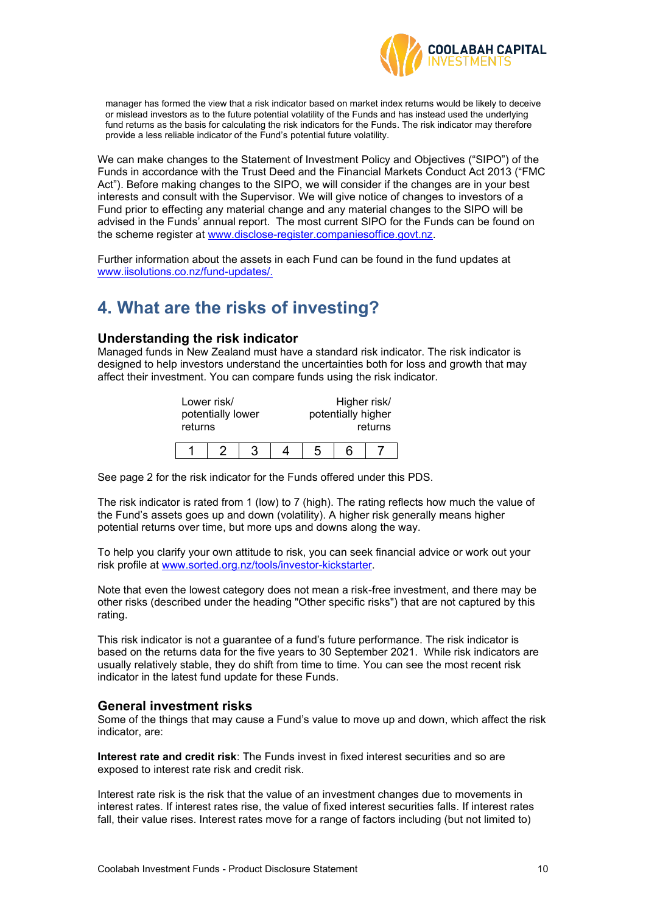

manager has formed the view that a risk indicator based on market index returns would be likely to deceive or mislead investors as to the future potential volatility of the Funds and has instead used the underlying fund returns as the basis for calculating the risk indicators for the Funds. The risk indicator may therefore provide a less reliable indicator of the Fund's potential future volatility.

We can make changes to the Statement of Investment Policy and Objectives ("SIPO") of the Funds in accordance with the Trust Deed and the Financial Markets Conduct Act 2013 ("FMC Act"). Before making changes to the SIPO, we will consider if the changes are in your best interests and consult with the Supervisor. We will give notice of changes to investors of a Fund prior to effecting any material change and any material changes to the SIPO will be advised in the Funds' annual report. The most current SIPO for the Funds can be found on the scheme register at [www.disclose-register.companiesoffice.govt.nz.](http://www.disclose-register.companiesoffice.govt.nz/)

Further information about the assets in each Fund can be found in the fund updates at www.iisolutions.co.nz/fund-updates/.

# <span id="page-9-0"></span>**4. What are the risks of investing?**

# **Understanding the risk indicator**

Managed funds in New Zealand must have a standard risk indicator. The risk indicator is designed to help investors understand the uncertainties both for loss and growth that may affect their investment. You can compare funds using the risk indicator.

| Lower risk/       |  |  |  | Higher risk/       |         |
|-------------------|--|--|--|--------------------|---------|
| potentially lower |  |  |  | potentially higher |         |
| returns           |  |  |  |                    | returns |
|                   |  |  |  |                    |         |
|                   |  |  |  | հ                  |         |

See page 2 for the risk indicator for the Funds offered under this PDS.

The risk indicator is rated from 1 (low) to 7 (high). The rating reflects how much the value of the Fund's assets goes up and down (volatility). A higher risk generally means higher potential returns over time, but more ups and downs along the way.

To help you clarify your own attitude to risk, you can seek financial advice or work out your risk profile at [www.sorted.org.nz/tools/investor-kickstarter.](http://www.sorted.org.nz/tools/investor-kickstarter)

Note that even the lowest category does not mean a risk-free investment, and there may be other risks (described under the heading "Other specific risks") that are not captured by this rating.

This risk indicator is not a guarantee of a fund's future performance. The risk indicator is based on the returns data for the five years to 30 September 2021. While risk indicators are usually relatively stable, they do shift from time to time. You can see the most recent risk indicator in the latest fund update for these Funds.

### **General investment risks**

Some of the things that may cause a Fund's value to move up and down, which affect the risk indicator, are:

**Interest rate and credit risk**: The Funds invest in fixed interest securities and so are exposed to interest rate risk and credit risk.

Interest rate risk is the risk that the value of an investment changes due to movements in interest rates. If interest rates rise, the value of fixed interest securities falls. If interest rates fall, their value rises. Interest rates move for a range of factors including (but not limited to)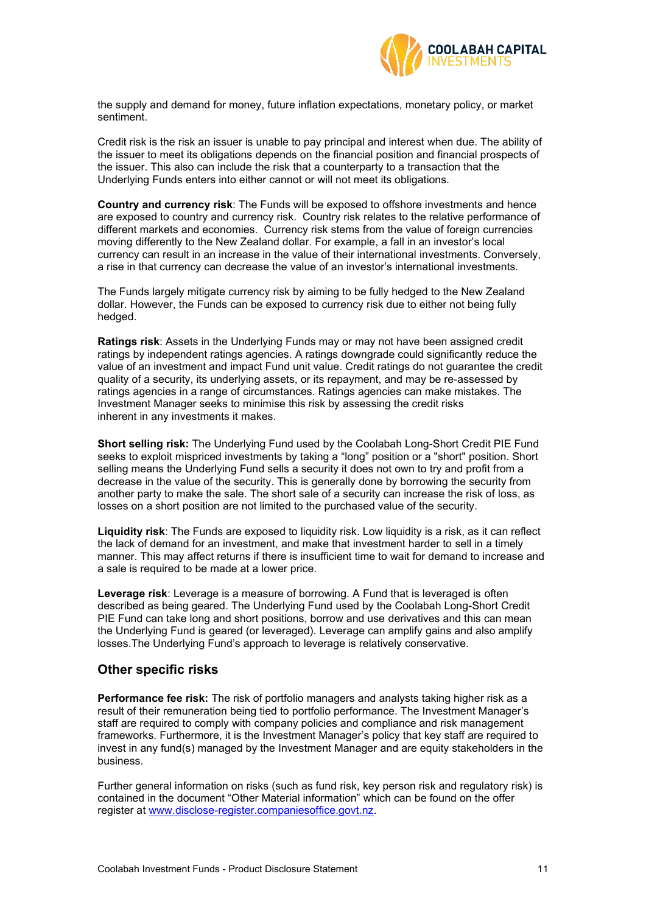

the supply and demand for money, future inflation expectations, monetary policy, or market sentiment.

Credit risk is the risk an issuer is unable to pay principal and interest when due. The ability of the issuer to meet its obligations depends on the financial position and financial prospects of the issuer. This also can include the risk that a counterparty to a transaction that the Underlying Funds enters into either cannot or will not meet its obligations.

**Country and currency risk**: The Funds will be exposed to offshore investments and hence are exposed to country and currency risk. Country risk relates to the relative performance of different markets and economies. Currency risk stems from the value of foreign currencies moving differently to the New Zealand dollar. For example, a fall in an investor's local currency can result in an increase in the value of their international investments. Conversely, a rise in that currency can decrease the value of an investor's international investments.

The Funds largely mitigate currency risk by aiming to be fully hedged to the New Zealand dollar. However, the Funds can be exposed to currency risk due to either not being fully hedged.

**Ratings risk**: Assets in the Underlying Funds may or may not have been assigned credit ratings by independent ratings agencies. A ratings downgrade could significantly reduce the value of an investment and impact Fund unit value. Credit ratings do not guarantee the credit quality of a security, its underlying assets, or its repayment, and may be re-assessed by ratings agencies in a range of circumstances. Ratings agencies can make mistakes. The Investment Manager seeks to minimise this risk by assessing the credit risks inherent in any investments it makes.

**Short selling risk:** The Underlying Fund used by the Coolabah Long-Short Credit PIE Fund seeks to exploit mispriced investments by taking a "long" position or a "short" position. Short selling means the Underlying Fund sells a security it does not own to try and profit from a decrease in the value of the security. This is generally done by borrowing the security from another party to make the sale. The short sale of a security can increase the risk of loss, as losses on a short position are not limited to the purchased value of the security.

**Liquidity risk**: The Funds are exposed to liquidity risk. Low liquidity is a risk, as it can reflect the lack of demand for an investment, and make that investment harder to sell in a timely manner. This may affect returns if there is insufficient time to wait for demand to increase and a sale is required to be made at a lower price.

**Leverage risk**: Leverage is a measure of borrowing. A Fund that is leveraged is often described as being geared. The Underlying Fund used by the Coolabah Long-Short Credit PIE Fund can take long and short positions, borrow and use derivatives and this can mean the Underlying Fund is geared (or leveraged). Leverage can amplify gains and also amplify losses.The Underlying Fund's approach to leverage is relatively conservative.

# **Other specific risks**

**Performance fee risk:** The risk of portfolio managers and analysts taking higher risk as a result of their remuneration being tied to portfolio performance. The Investment Manager's staff are required to comply with company policies and compliance and risk management frameworks. Furthermore, it is the Investment Manager's policy that key staff are required to invest in any fund(s) managed by the Investment Manager and are equity stakeholders in the business.

Further general information on risks (such as fund risk, key person risk and regulatory risk) is contained in the document "Other Material information" which can be found on the offer register at [www.disclose-register.companiesoffice.govt.nz.](http://www.disclose-register.companiesoffice.govt.nz/)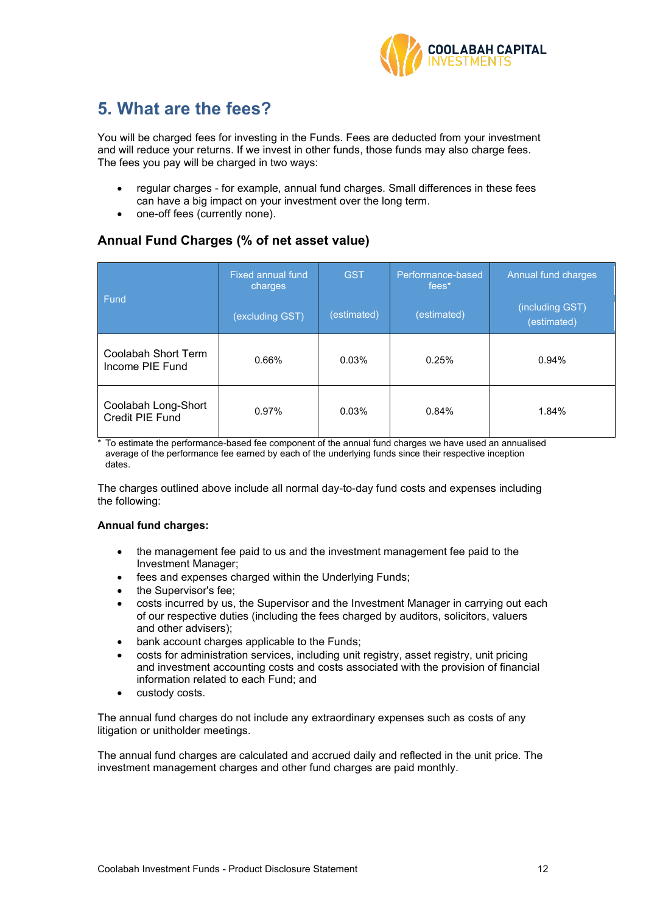

# **5. What are the fees?**

You will be charged fees for investing in the Funds. Fees are deducted from your investment and will reduce your returns. If we invest in other funds, those funds may also charge fees. The fees you pay will be charged in two ways:

- regular charges for example, annual fund charges. Small differences in these fees can have a big impact on your investment over the long term.
- one-off fees (currently none).

# **Annual Fund Charges (% of net asset value)**

|                                        | <b>Fixed annual fund</b><br>charges | <b>GST</b>  | Performance-based<br>fees <sup>*</sup> | Annual fund charges            |
|----------------------------------------|-------------------------------------|-------------|----------------------------------------|--------------------------------|
| Fund                                   | (excluding GST)                     | (estimated) | (estimated)                            | (including GST)<br>(estimated) |
| Coolabah Short Term<br>Income PIE Fund | 0.66%                               | 0.03%       | 0.25%                                  | 0.94%                          |
| Coolabah Long-Short<br>Credit PIE Fund | 0.97%                               | 0.03%       | 0.84%                                  | 1.84%                          |

\* To estimate the performance-based fee component of the annual fund charges we have used an annualised average of the performance fee earned by each of the underlying funds since their respective inception dates.

The charges outlined above include all normal day-to-day fund costs and expenses including the following:

### **Annual fund charges:**

- the management fee paid to us and the investment management fee paid to the Investment Manager;
- fees and expenses charged within the Underlying Funds;
- the Supervisor's fee:
- costs incurred by us, the Supervisor and the Investment Manager in carrying out each of our respective duties (including the fees charged by auditors, solicitors, valuers and other advisers);
- bank account charges applicable to the Funds;
- costs for administration services, including unit registry, asset registry, unit pricing and investment accounting costs and costs associated with the provision of financial information related to each Fund; and
- custody costs.

The annual fund charges do not include any extraordinary expenses such as costs of any litigation or unitholder meetings.

The annual fund charges are calculated and accrued daily and reflected in the unit price. The investment management charges and other fund charges are paid monthly.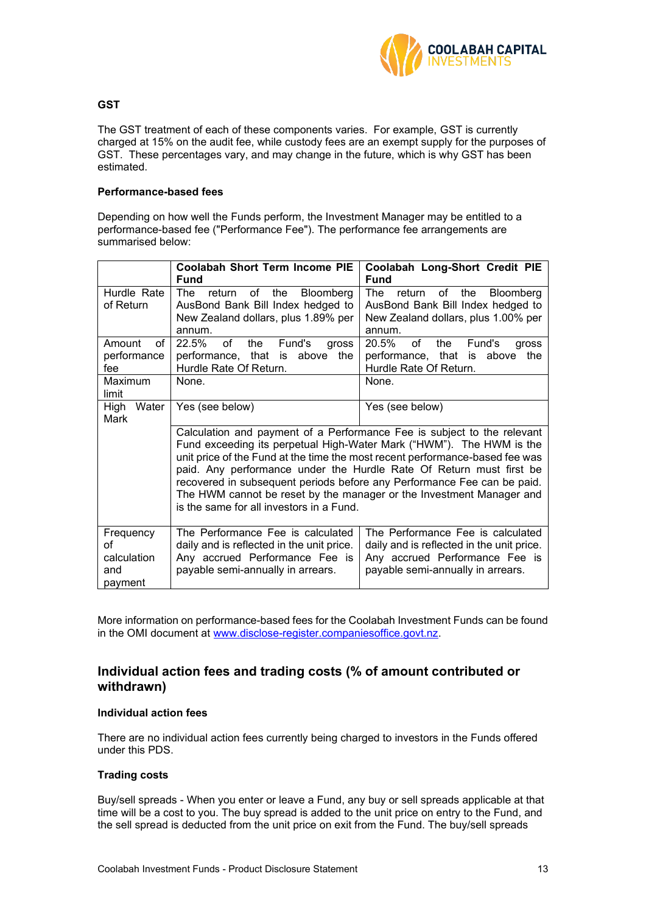

### **GST**

The GST treatment of each of these components varies. For example, GST is currently charged at 15% on the audit fee, while custody fees are an exempt supply for the purposes of GST. These percentages vary, and may change in the future, which is why GST has been estimated.

### **Performance-based fees**

Depending on how well the Funds perform, the Investment Manager may be entitled to a performance-based fee ("Performance Fee"). The performance fee arrangements are summarised below:

|                                                  | <b>Coolabah Short Term Income PIE</b><br>Fund                                                                                                         | Coolabah Long-Short Credit PIE<br><b>Fund</b>                                                                                                                                                                                                                                                                                                                                                                                                             |
|--------------------------------------------------|-------------------------------------------------------------------------------------------------------------------------------------------------------|-----------------------------------------------------------------------------------------------------------------------------------------------------------------------------------------------------------------------------------------------------------------------------------------------------------------------------------------------------------------------------------------------------------------------------------------------------------|
| Hurdle Rate<br>of Return                         | The<br>of the<br>return<br><b>Bloomberg</b><br>AusBond Bank Bill Index hedged to<br>New Zealand dollars, plus 1.89% per<br>annum.                     | of the Bloomberg<br>The<br>return<br>AusBond Bank Bill Index hedged to<br>New Zealand dollars, plus 1.00% per<br>annum.                                                                                                                                                                                                                                                                                                                                   |
| Amount<br>of<br>performance<br>fee               | 22.5%<br>of<br>Fund's<br>the<br><b>aross</b><br>performance, that is<br>above<br>the<br>Hurdle Rate Of Return.                                        | 20.5%<br>of<br>Fund's<br>the<br>gross<br>performance, that is above<br>the<br>Hurdle Rate Of Return.                                                                                                                                                                                                                                                                                                                                                      |
| Maximum<br>limit                                 | None.                                                                                                                                                 | None.                                                                                                                                                                                                                                                                                                                                                                                                                                                     |
| High<br>Water<br>Mark                            | Yes (see below)<br>Yes (see below)                                                                                                                    |                                                                                                                                                                                                                                                                                                                                                                                                                                                           |
|                                                  | is the same for all investors in a Fund.                                                                                                              | Calculation and payment of a Performance Fee is subject to the relevant<br>Fund exceeding its perpetual High-Water Mark ("HWM"). The HWM is the<br>unit price of the Fund at the time the most recent performance-based fee was<br>paid. Any performance under the Hurdle Rate Of Return must first be<br>recovered in subsequent periods before any Performance Fee can be paid.<br>The HWM cannot be reset by the manager or the Investment Manager and |
| Frequency<br>οf<br>calculation<br>and<br>payment | The Performance Fee is calculated<br>daily and is reflected in the unit price.<br>Any accrued Performance Fee is<br>payable semi-annually in arrears. | The Performance Fee is calculated<br>daily and is reflected in the unit price.<br>Any accrued Performance Fee is<br>payable semi-annually in arrears.                                                                                                                                                                                                                                                                                                     |

More information on performance-based fees for the Coolabah Investment Funds can be found in the OMI document at [www.disclose-register.companiesoffice.govt.nz.](http://www.disclose-register.companiesoffice.govt.nz/)

# **Individual action fees and trading costs (% of amount contributed or withdrawn)**

#### **Individual action fees**

There are no individual action fees currently being charged to investors in the Funds offered under this PDS.

### **Trading costs**

Buy/sell spreads - When you enter or leave a Fund, any buy or sell spreads applicable at that time will be a cost to you. The buy spread is added to the unit price on entry to the Fund, and the sell spread is deducted from the unit price on exit from the Fund. The buy/sell spreads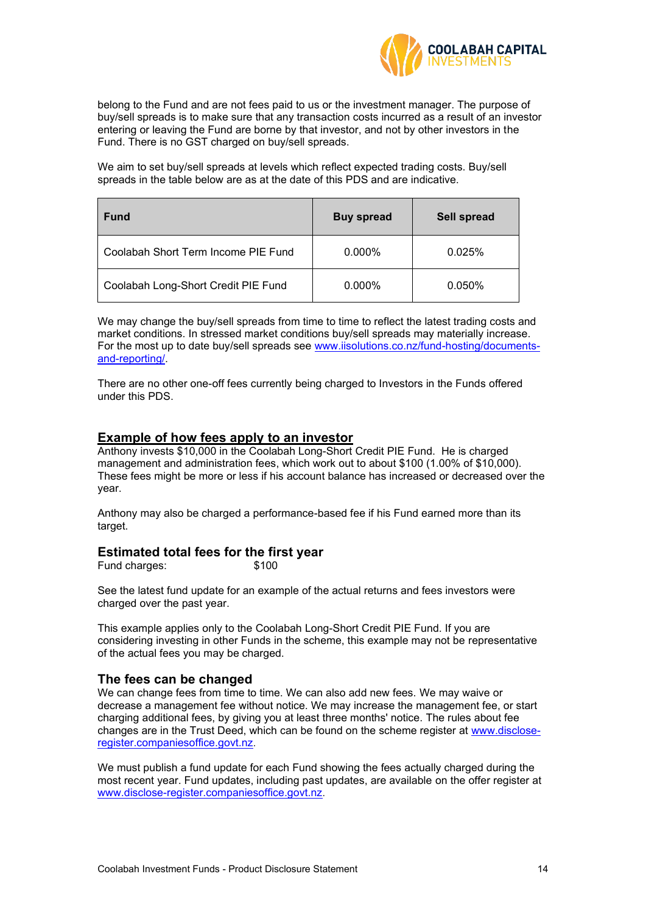

belong to the Fund and are not fees paid to us or the investment manager. The purpose of buy/sell spreads is to make sure that any transaction costs incurred as a result of an investor entering or leaving the Fund are borne by that investor, and not by other investors in the Fund. There is no GST charged on buy/sell spreads.

We aim to set buy/sell spreads at levels which reflect expected trading costs. Buy/sell spreads in the table below are as at the date of this PDS and are indicative.

| <b>Fund</b>                         | <b>Buy spread</b> | Sell spread |
|-------------------------------------|-------------------|-------------|
| Coolabah Short Term Income PIE Fund | $0.000\%$         | 0.025%      |
| Coolabah Long-Short Credit PIE Fund | $0.000\%$         | $0.050\%$   |

We may change the buy/sell spreads from time to time to reflect the latest trading costs and market conditions. In stressed market conditions buy/sell spreads may materially increase. For the most up to date buy/sell spreads see [www.iisolutions.co.nz/fund-hosting/documents](http://www.iisolutions.co.nz/fund-hosting/documents-and-reporting/)[and-reporting/.](http://www.iisolutions.co.nz/fund-hosting/documents-and-reporting/)

There are no other one-off fees currently being charged to Investors in the Funds offered under this PDS.

# **Example of how fees apply to an investor**

Anthony invests \$10,000 in the Coolabah Long-Short Credit PIE Fund. He is charged management and administration fees, which work out to about \$100 (1.00% of \$10,000). These fees might be more or less if his account balance has increased or decreased over the year.

Anthony may also be charged a performance-based fee if his Fund earned more than its target.

# **Estimated total fees for the first year**

Fund charges:  $$100$ 

See the latest fund update for an example of the actual returns and fees investors were charged over the past year.

This example applies only to the Coolabah Long-Short Credit PIE Fund. If you are considering investing in other Funds in the scheme, this example may not be representative of the actual fees you may be charged.

### **The fees can be changed**

We can change fees from time to time. We can also add new fees. We may waive or decrease a management fee without notice. We may increase the management fee, or start charging additional fees, by giving you at least three months' notice. The rules about fee changes are in the Trust Deed, which can be found on the scheme register at [www.disclose](http://www.disclose-register.companiesoffice.govt.nz/)[register.companiesoffice.govt.nz](http://www.disclose-register.companiesoffice.govt.nz/).

We must publish a fund update for each Fund showing the fees actually charged during the most recent year. Fund updates, including past updates, are available on the offer register at [www.disclose-register.companiesoffice.govt.nz](http://www.disclose-register.companiesoffice.govt.nz/).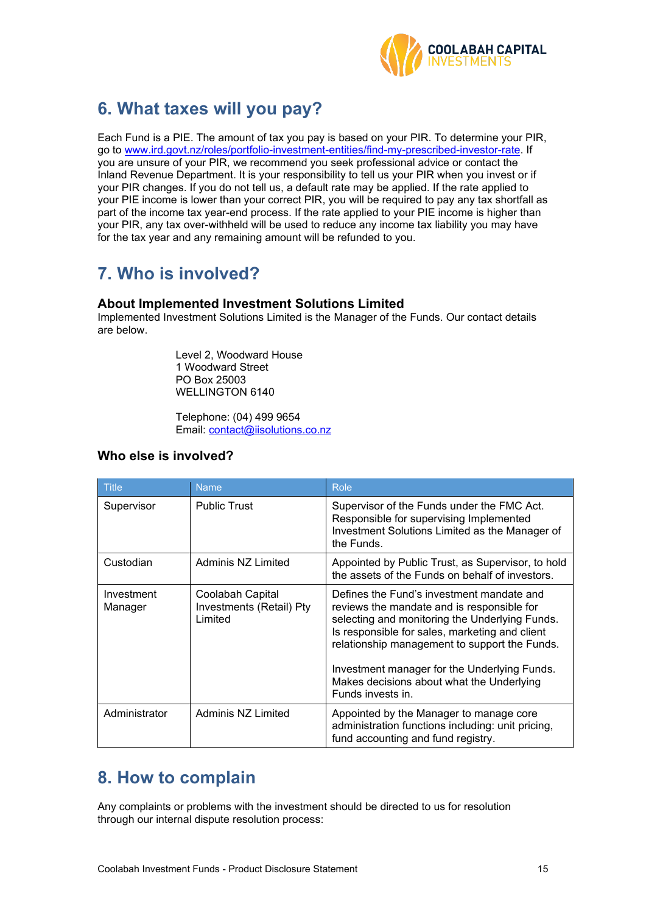

# <span id="page-14-0"></span>**6. What taxes will you pay?**

Each Fund is a PIE. The amount of tax you pay is based on your PIR. To determine your PIR, go to [www.ird.govt.nz/roles/portfolio-investment-entities/find-my-prescribed-investor-rate.](http://www.ird.govt.nz/roles/portfolio-investment-entities/find-my-prescribed-investor-rate) If you are unsure of your PIR, we recommend you seek professional advice or contact the Inland Revenue Department. It is your responsibility to tell us your PIR when you invest or if your PIR changes. If you do not tell us, a default rate may be applied. If the rate applied to your PIE income is lower than your correct PIR, you will be required to pay any tax shortfall as part of the income tax year-end process. If the rate applied to your PIE income is higher than your PIR, any tax over-withheld will be used to reduce any income tax liability you may have for the tax year and any remaining amount will be refunded to you.

# **7. Who is involved?**

# **About Implemented Investment Solutions Limited**

Implemented Investment Solutions Limited is the Manager of the Funds. Our contact details are below.

> Level 2, Woodward House 1 Woodward Street PO Box 25003 WELLINGTON 6140

Telephone: (04) 499 9654 Email: [contact@iisolutions.co.nz](mailto:contact@iisolutions.co.nz)

# **Who else is involved?**

| <b>Title</b>          | <b>Name</b>                                             | <b>Role</b>                                                                                                                                                                                                                                                                                                                                                    |
|-----------------------|---------------------------------------------------------|----------------------------------------------------------------------------------------------------------------------------------------------------------------------------------------------------------------------------------------------------------------------------------------------------------------------------------------------------------------|
| Supervisor            | <b>Public Trust</b>                                     | Supervisor of the Funds under the FMC Act.<br>Responsible for supervising Implemented<br>Investment Solutions Limited as the Manager of<br>the Funds.                                                                                                                                                                                                          |
| Custodian             | Adminis NZ Limited                                      | Appointed by Public Trust, as Supervisor, to hold<br>the assets of the Funds on behalf of investors.                                                                                                                                                                                                                                                           |
| Investment<br>Manager | Coolabah Capital<br>Investments (Retail) Pty<br>Limited | Defines the Fund's investment mandate and<br>reviews the mandate and is responsible for<br>selecting and monitoring the Underlying Funds.<br>Is responsible for sales, marketing and client<br>relationship management to support the Funds.<br>Investment manager for the Underlying Funds.<br>Makes decisions about what the Underlying<br>Funds invests in. |
| Administrator         | Adminis NZ Limited                                      | Appointed by the Manager to manage core<br>administration functions including: unit pricing,<br>fund accounting and fund registry.                                                                                                                                                                                                                             |

# **8. How to complain**

Any complaints or problems with the investment should be directed to us for resolution through our internal dispute resolution process: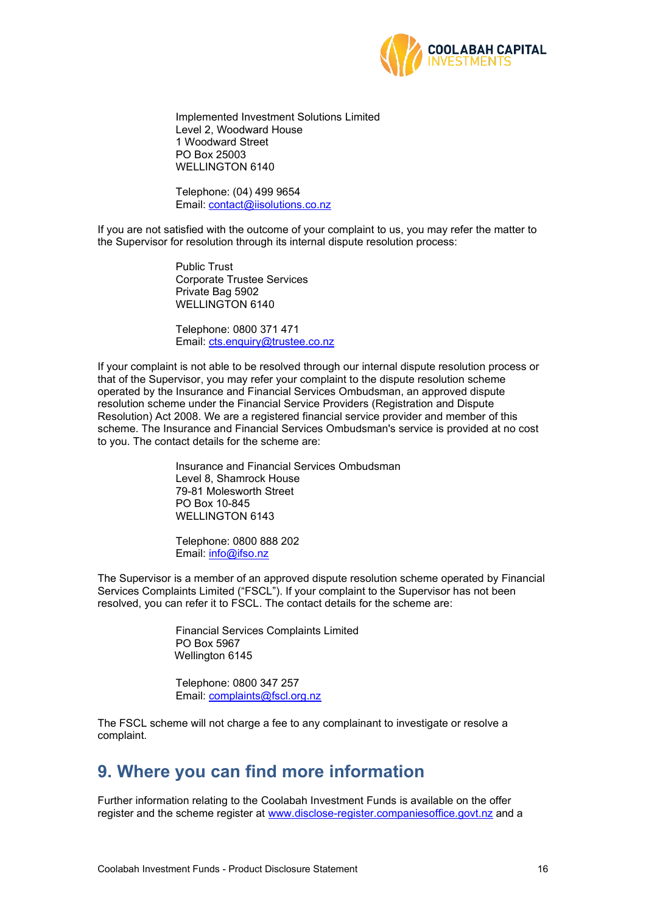

Implemented Investment Solutions Limited Level 2, Woodward House 1 Woodward Street PO Box 25003 WELLINGTON 6140

Telephone: (04) 499 9654 Email: [contact@iisolutions.co.nz](mailto:contact@iisolutions.co.nz)

If you are not satisfied with the outcome of your complaint to us, you may refer the matter to the Supervisor for resolution through its internal dispute resolution process:

> Public Trust Corporate Trustee Services Private Bag 5902 WELLINGTON 6140

Telephone: 0800 371 471 Email: [cts.enquiry@trustee.co.nz](mailto:cts.enquiry@trustee.co.nz)

If your complaint is not able to be resolved through our internal dispute resolution process or that of the Supervisor, you may refer your complaint to the dispute resolution scheme operated by the Insurance and Financial Services Ombudsman, an approved dispute resolution scheme under the Financial Service Providers (Registration and Dispute Resolution) Act 2008. We are a registered financial service provider and member of this scheme. The Insurance and Financial Services Ombudsman's service is provided at no cost to you. The contact details for the scheme are:

> Insurance and Financial Services Ombudsman Level 8, Shamrock House 79-81 Molesworth Street PO Box 10-845 WELLINGTON 6143

Telephone: 0800 888 202 Email: [info@ifso.nz](mailto:info@ifso.nz)

The Supervisor is a member of an approved dispute resolution scheme operated by Financial Services Complaints Limited ("FSCL"). If your complaint to the Supervisor has not been resolved, you can refer it to FSCL. The contact details for the scheme are:

> Financial Services Complaints Limited PO Box 5967 Wellington 6145

Telephone: 0800 347 257 Email: [complaints@fscl.org.nz](mailto:complaints@fscl.org.nz)

The FSCL scheme will not charge a fee to any complainant to investigate or resolve a complaint.

# **9. Where you can find more information**

Further information relating to the Coolabah Investment Funds is available on the offer register and the scheme register at [www.disclose-register.companiesoffice.govt.nz](http://www.disclose-register.companiesoffice.govt.nz/) and a